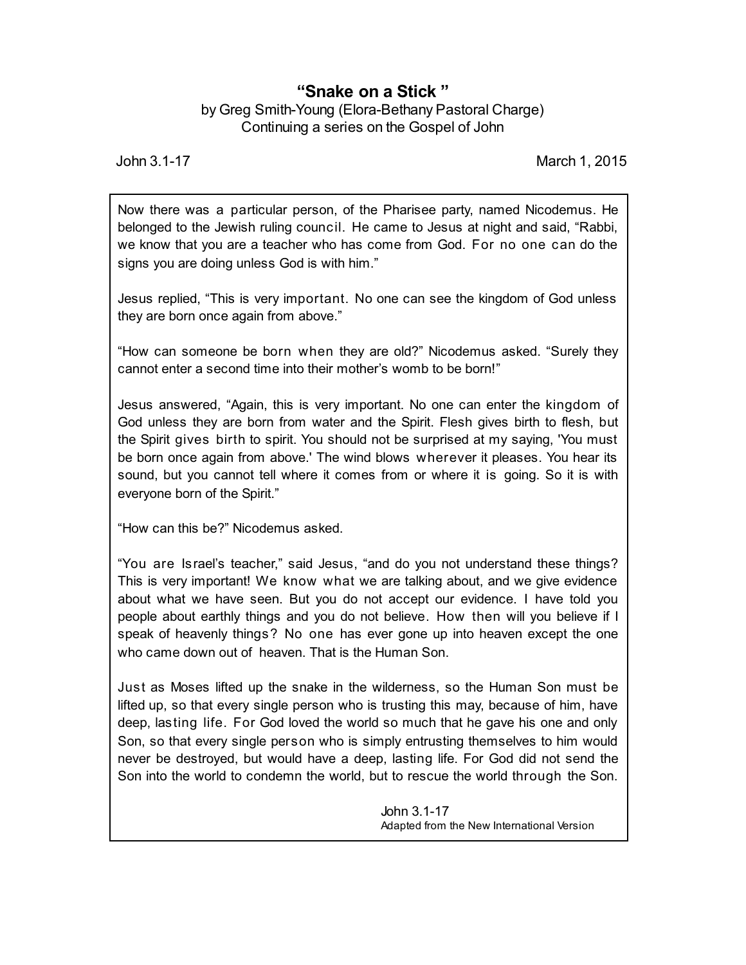## **"Snake on a Stick "**

by Greg Smith-Young (Elora-Bethany Pastoral Charge) Continuing a series on the Gospel of John

John 3.1-17 March 1, 2015

Now there was a particular person, of the Pharisee party, named Nicodemus. He belonged to the Jewish ruling council. He came to Jesus at night and said, "Rabbi, we know that you are a teacher who has come from God. For no one can do the signs you are doing unless God is with him."

Jesus replied, "This is very important. No one can see the kingdom of God unless they are born once again from above."

"How can someone be born when they are old?" Nicodemus asked. "Surely they cannot enter a second time into their mother's womb to be born!"

Jesus answered, "Again, this is very important. No one can enter the kingdom of God unless they are born from water and the Spirit. Flesh gives birth to flesh, but the Spirit gives birth to spirit. You should not be surprised at my saying, 'You must be born once again from above.' The wind blows wherever it pleases. You hear its sound, but you cannot tell where it comes from or where it is going. So it is with everyone born of the Spirit."

"How can this be?" Nicodemus asked.

"You are Israel's teacher," said Jesus, "and do you not understand these things? This is very important! We know what we are talking about, and we give evidence about what we have seen. But you do not accept our evidence. I have told you people about earthly things and you do not believe. How then will you believe if I speak of heavenly things? No one has ever gone up into heaven except the one who came down out of heaven. That is the Human Son.

Just as Moses lifted up the snake in the wilderness, so the Human Son must be lifted up, so that every single person who is trusting this may, because of him, have deep, lasting life. For God loved the world so much that he gave his one and only Son, so that every single person who is simply entrusting themselves to him would never be destroyed, but would have a deep, lasting life. For God did not send the Son into the world to condemn the world, but to rescue the world through the Son.

> John 3.1-17 Adapted from the New International Version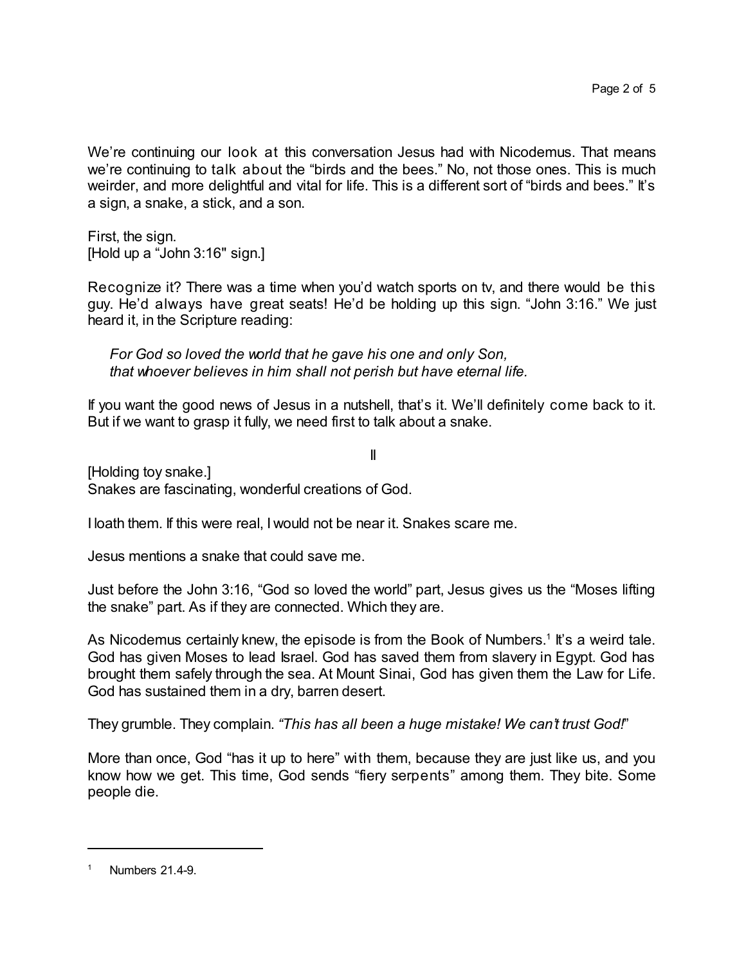We're continuing our look at this conversation Jesus had with Nicodemus. That means we're continuing to talk about the "birds and the bees." No, not those ones. This is much weirder, and more delightful and vital for life. This is a different sort of "birds and bees." It's a sign, a snake, a stick, and a son.

First, the sign. [Hold up a "John 3:16" sign.]

Recognize it? There was a time when you'd watch sports on tv, and there would be this guy. He'd always have great seats! He'd be holding up this sign. "John 3:16." We just heard it, in the Scripture reading:

*For God so loved the world that he gave his one and only Son, that whoever believes in him shall not perish but have eternal life.*

If you want the good news of Jesus in a nutshell, that's it. We'll definitely come back to it. But if we want to grasp it fully, we need first to talk about a snake.

II [Holding toy snake.] Snakes are fascinating, wonderful creations of God.

I loath them. If this were real, I would not be near it. Snakes scare me.

Jesus mentions a snake that could save me.

Just before the John 3:16, "God so loved the world" part, Jesus gives us the "Moses lifting the snake" part. As if they are connected. Which they are.

As Nicodemus certainly knew, the episode is from the Book of Numbers.<sup>1</sup> It's a weird tale. God has given Moses to lead Israel. God has saved them from slavery in Egypt. God has brought them safely through the sea. At Mount Sinai, God has given them the Law for Life. God has sustained them in a dry, barren desert.

They grumble. They complain. *"This has all been a huge mistake! We can't trust God!*"

More than once, God "has it up to here" with them, because they are just like us, and you know how we get. This time, God sends "fiery serpents" among them. They bite. Some people die.

Numbers 21.4-9.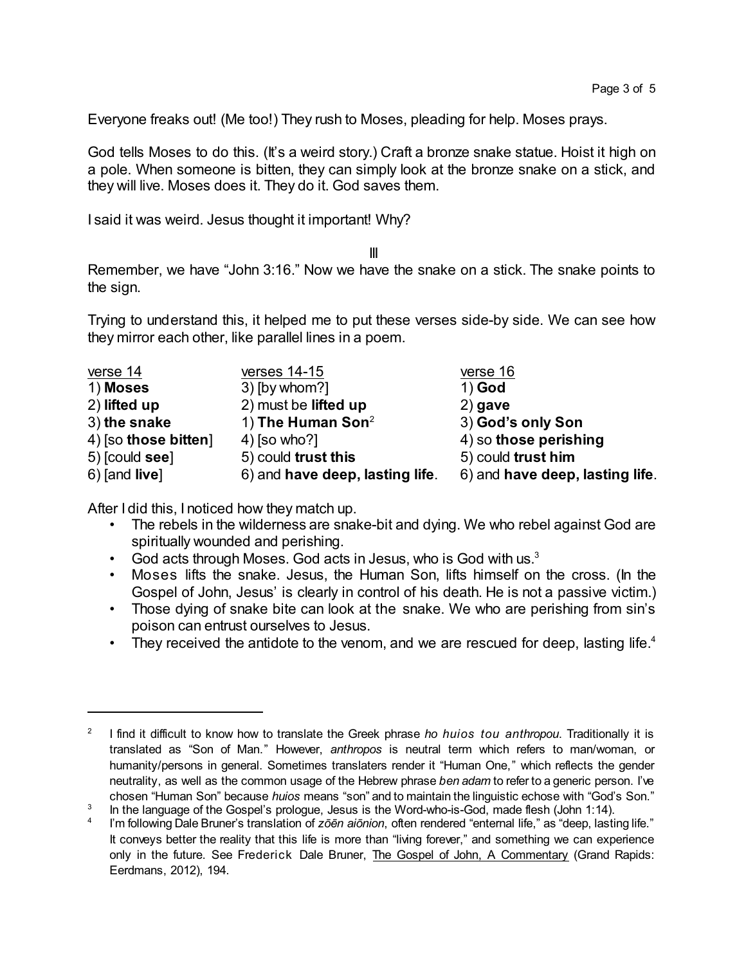Everyone freaks out! (Me too!) They rush to Moses, pleading for help. Moses prays.

God tells Moses to do this. (It's a weird story.) Craft a bronze snake statue. Hoist it high on a pole. When someone is bitten, they can simply look at the bronze snake on a stick, and they will live. Moses does it. They do it. God saves them.

I said it was weird. Jesus thought it important! Why?

III

Remember, we have "John 3:16." Now we have the snake on a stick. The snake points to the sign.

Trying to understand this, it helped me to put these verses side-by side. We can see how they mirror each other, like parallel lines in a poem.

| verse 14             | verses 14-15                    | verse 16                        |
|----------------------|---------------------------------|---------------------------------|
| 1) Moses             | 3) [by whom?]                   | $1)$ God                        |
| 2) lifted up         | 2) must be lifted up            | $2)$ gave                       |
| 3) the snake         | 1) The Human Son <sup>2</sup>   | 3) God's only Son               |
| 4) [so those bitten] | $4)$ [so who?]                  | 4) so those perishing           |
| 5) [could see]       | 5) could trust this             | 5) could trust him              |
| $6)$ [and live]      | 6) and have deep, lasting life. | 6) and have deep, lasting life. |

After I did this, I noticed how they match up.

- The rebels in the wilderness are snake-bit and dying. We who rebel against God are spiritually wounded and perishing.
- God acts through Moses. God acts in Jesus, who is God with us. $3$
- Moses lifts the snake. Jesus, the Human Son, lifts himself on the cross. (In the Gospel of John, Jesus' is clearly in control of his death. He is not a passive victim.)
- Those dying of snake bite can look at the snake. We who are perishing from sin's poison can entrust ourselves to Jesus.
- They received the antidote to the venom, and we are rescued for deep, lasting life. $4$

<sup>2</sup> I find it difficult to know how to translate the Greek phrase *ho huios tou anthropou*. Traditionally it is translated as "Son of Man." However, *anthropos* is neutral term which refers to man/woman, or humanity/persons in general. Sometimes translaters render it "Human One," which reflects the gender neutrality, as well as the common usage of the Hebrew phrase *ben adam* to refer to a generic person. I've chosen "Human Son" because *huios* means "son" and to maintain the linguistic echose with "God's Son." 3

In the language of the Gospel's prologue, Jesus is the Word-who-is-God, made flesh (John 1:14).

<sup>4</sup> I'm following Dale Bruner's translation of *zôçn aiônion*, often rendered "enternal life," as "deep, lasting life." It conveys better the reality that this life is more than "living forever," and something we can experience only in the future. See Frederick Dale Bruner, The Gospel of John, A Commentary (Grand Rapids: Eerdmans, 2012), 194.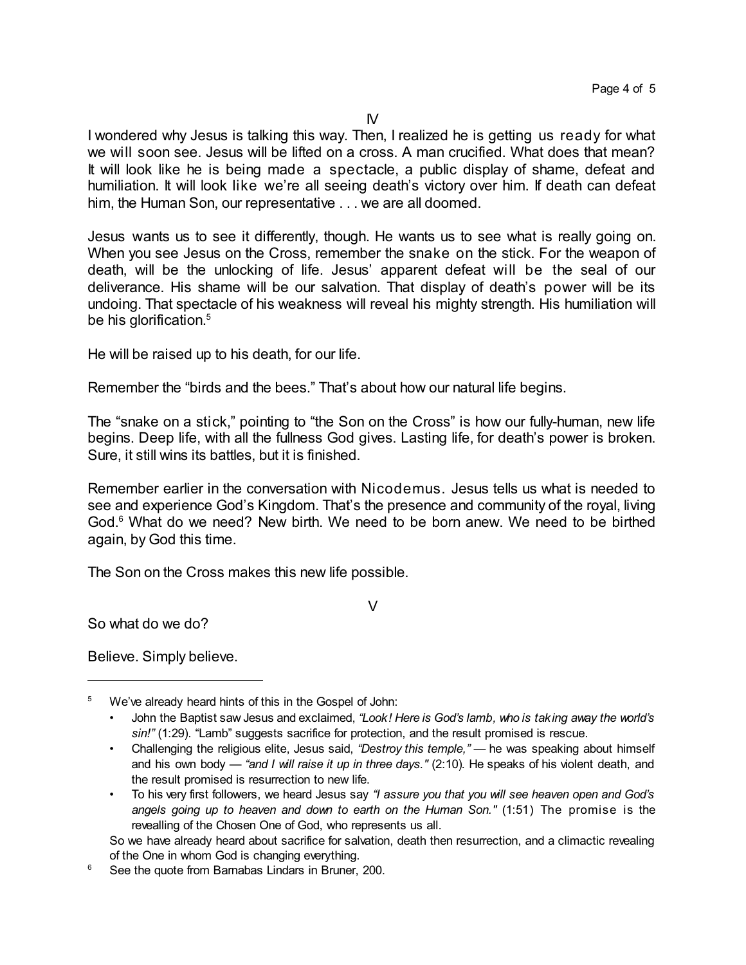I wondered why Jesus is talking this way. Then, I realized he is getting us ready for what we will soon see. Jesus will be lifted on a cross. A man crucified. What does that mean? It will look like he is being made a spectacle, a public display of shame, defeat and humiliation. It will look like we're all seeing death's victory over him. If death can defeat him, the Human Son, our representative . . . we are all doomed.

Jesus wants us to see it differently, though. He wants us to see what is really going on. When you see Jesus on the Cross, remember the snake on the stick. For the weapon of death, will be the unlocking of life. Jesus' apparent defeat will be the seal of our deliverance. His shame will be our salvation. That display of death's power will be its undoing. That spectacle of his weakness will reveal his mighty strength. His humiliation will be his glorification. 5

He will be raised up to his death, for our life.

Remember the "birds and the bees." That's about how our natural life begins.

The "snake on a stick," pointing to "the Son on the Cross" is how our fully-human, new life begins. Deep life, with all the fullness God gives. Lasting life, for death's power is broken. Sure, it still wins its battles, but it is finished.

Remember earlier in the conversation with Nicodemus. Jesus tells us what is needed to see and experience God's Kingdom. That's the presence and community of the royal, living God.<sup>6</sup> What do we need? New birth. We need to be born anew. We need to be birthed again, by God this time.

V

The Son on the Cross makes this new life possible.

So what do we do?

Believe. Simply believe.

<sup>5</sup> We've already heard hints of this in the Gospel of John:

<sup>•</sup> John the Baptist saw Jesus and exclaimed, *"Look! Here is God's lamb, who is taking away the world's sin!"* (1:29). "Lamb" suggests sacrifice for protection, and the result promised is rescue.

<sup>•</sup> Challenging the religious elite, Jesus said, *"Destroy this temple,"* — he was speaking about himself and his own body — *"and I will raise it up in three days."* (2:10)*.* He speaks of his violent death, and the result promised is resurrection to new life.

<sup>•</sup> To his very first followers, we heard Jesus say *"I assure you that you will see heaven open and God's angels going up to heaven and down to earth on the Human Son."* (1:51) The promise is the revealling of the Chosen One of God, who represents us all.

So we have already heard about sacrifice for salvation, death then resurrection, and a climactic revealing of the One in whom God is changing everything.

<sup>&</sup>lt;sup>6</sup> See the quote from Barnabas Lindars in Bruner, 200.